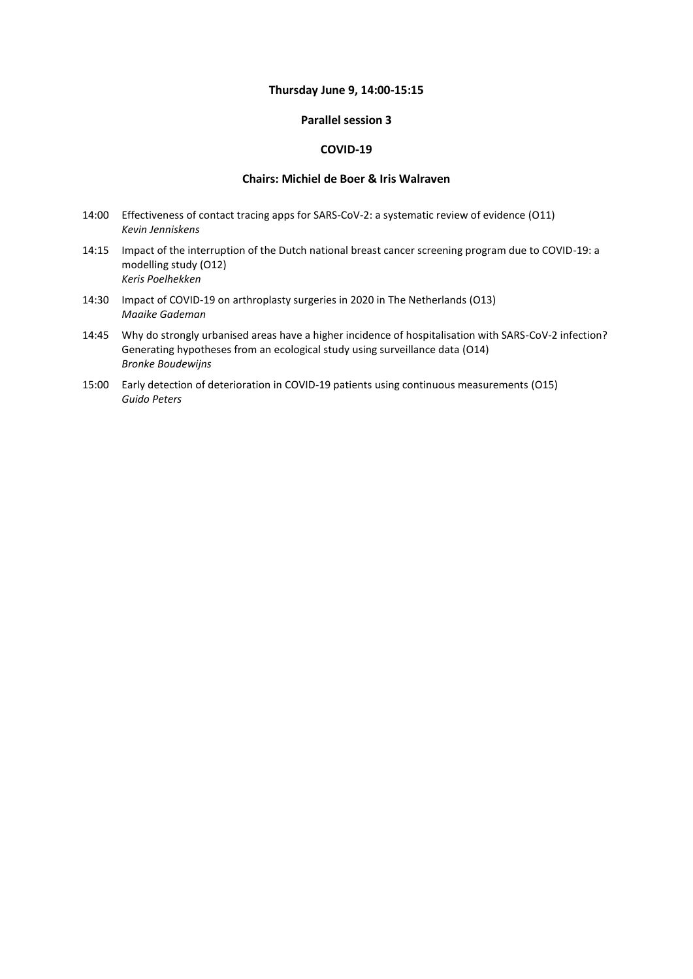### **Thursday June 9, 14:00-15:15**

### **Parallel session 3**

### **COVID-19**

#### **Chairs: Michiel de Boer & Iris Walraven**

- 14:00 Effectiveness of contact tracing apps for SARS-CoV-2: a systematic review of evidence (O11) *Kevin Jenniskens*
- 14:15 Impact of the interruption of the Dutch national breast cancer screening program due to COVID-19: a modelling study (O12) *Keris Poelhekken*
- 14:30 Impact of COVID-19 on arthroplasty surgeries in 2020 in The Netherlands (O13) *Maaike Gademan*
- 14:45 Why do strongly urbanised areas have a higher incidence of hospitalisation with SARS-CoV-2 infection? Generating hypotheses from an ecological study using surveillance data (O14) *Bronke Boudewijns*
- 15:00 Early detection of deterioration in COVID-19 patients using continuous measurements (O15) *Guido Peters*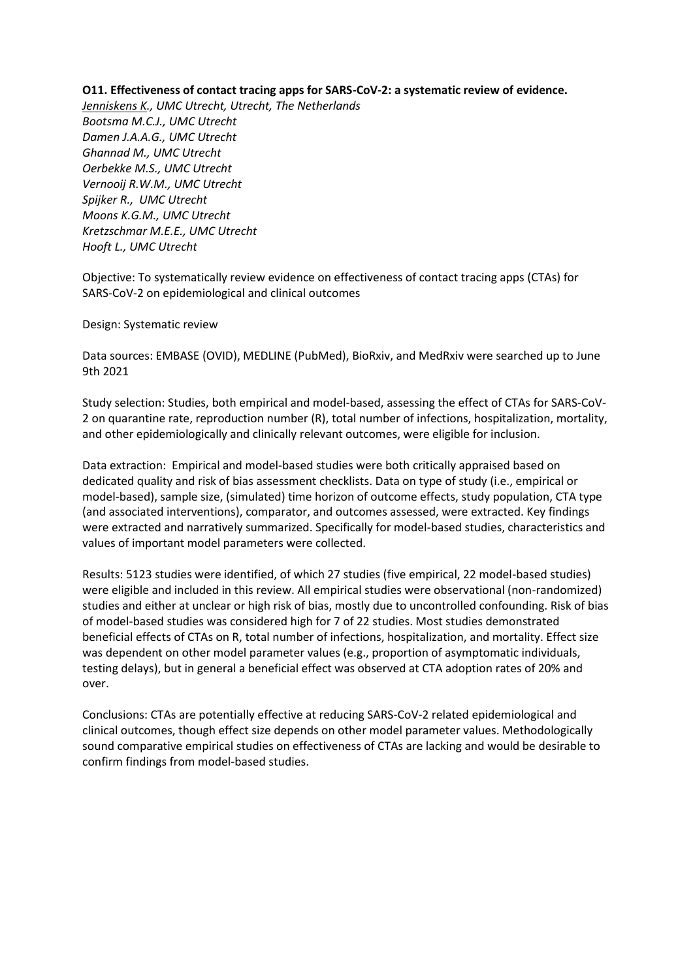### **O11. Effectiveness of contact tracing apps for SARS-CoV-2: a systematic review of evidence.**

*Jenniskens K., UMC Utrecht, Utrecht, The Netherlands Bootsma M.C.J., UMC Utrecht Damen J.A.A.G., UMC Utrecht Ghannad M., UMC Utrecht Oerbekke M.S., UMC Utrecht Vernooij R.W.M., UMC Utrecht Spijker R., UMC Utrecht Moons K.G.M., UMC Utrecht Kretzschmar M.E.E., UMC Utrecht Hooft L., UMC Utrecht*

Objective: To systematically review evidence on effectiveness of contact tracing apps (CTAs) for SARS-CoV-2 on epidemiological and clinical outcomes

Design: Systematic review

Data sources: EMBASE (OVID), MEDLINE (PubMed), BioRxiv, and MedRxiv were searched up to June 9th 2021

Study selection: Studies, both empirical and model-based, assessing the effect of CTAs for SARS-CoV-2 on quarantine rate, reproduction number (R), total number of infections, hospitalization, mortality, and other epidemiologically and clinically relevant outcomes, were eligible for inclusion.

Data extraction: Empirical and model-based studies were both critically appraised based on dedicated quality and risk of bias assessment checklists. Data on type of study (i.e., empirical or model-based), sample size, (simulated) time horizon of outcome effects, study population, CTA type (and associated interventions), comparator, and outcomes assessed, were extracted. Key findings were extracted and narratively summarized. Specifically for model-based studies, characteristics and values of important model parameters were collected.

Results: 5123 studies were identified, of which 27 studies (five empirical, 22 model-based studies) were eligible and included in this review. All empirical studies were observational (non-randomized) studies and either at unclear or high risk of bias, mostly due to uncontrolled confounding. Risk of bias of model-based studies was considered high for 7 of 22 studies. Most studies demonstrated beneficial effects of CTAs on R, total number of infections, hospitalization, and mortality. Effect size was dependent on other model parameter values (e.g., proportion of asymptomatic individuals, testing delays), but in general a beneficial effect was observed at CTA adoption rates of 20% and over.

Conclusions: CTAs are potentially effective at reducing SARS-CoV-2 related epidemiological and clinical outcomes, though effect size depends on other model parameter values. Methodologically sound comparative empirical studies on effectiveness of CTAs are lacking and would be desirable to confirm findings from model-based studies.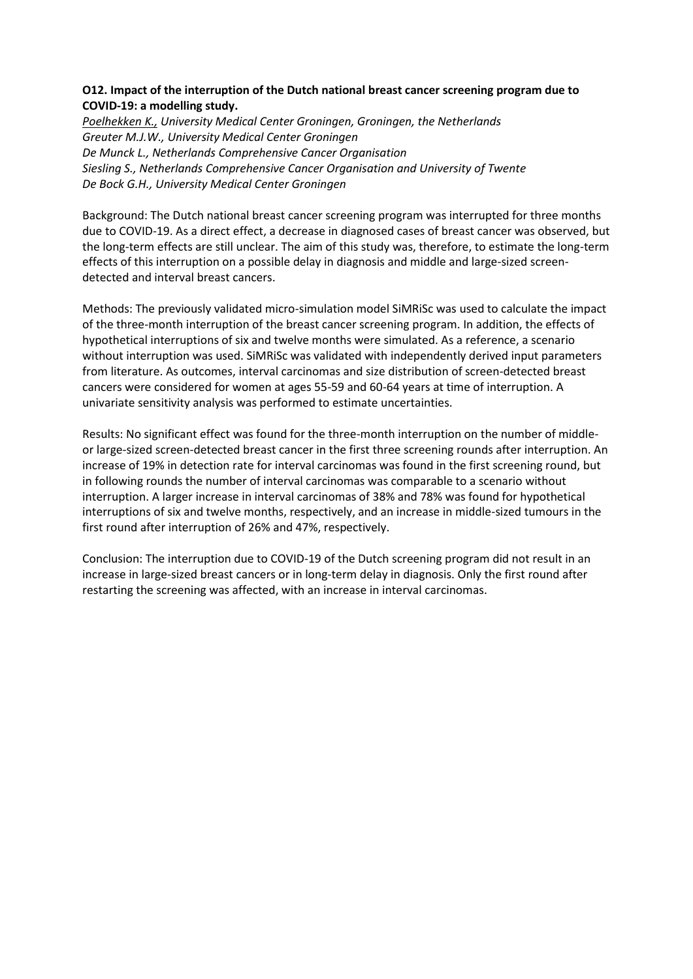# **O12. Impact of the interruption of the Dutch national breast cancer screening program due to COVID-19: a modelling study.**

*Poelhekken K., University Medical Center Groningen, Groningen, the Netherlands Greuter M.J.W., University Medical Center Groningen De Munck L., Netherlands Comprehensive Cancer Organisation Siesling S., Netherlands Comprehensive Cancer Organisation and University of Twente De Bock G.H., University Medical Center Groningen*

Background: The Dutch national breast cancer screening program was interrupted for three months due to COVID-19. As a direct effect, a decrease in diagnosed cases of breast cancer was observed, but the long-term effects are still unclear. The aim of this study was, therefore, to estimate the long-term effects of this interruption on a possible delay in diagnosis and middle and large-sized screendetected and interval breast cancers.

Methods: The previously validated micro-simulation model SiMRiSc was used to calculate the impact of the three-month interruption of the breast cancer screening program. In addition, the effects of hypothetical interruptions of six and twelve months were simulated. As a reference, a scenario without interruption was used. SiMRiSc was validated with independently derived input parameters from literature. As outcomes, interval carcinomas and size distribution of screen-detected breast cancers were considered for women at ages 55-59 and 60-64 years at time of interruption. A univariate sensitivity analysis was performed to estimate uncertainties.

Results: No significant effect was found for the three-month interruption on the number of middleor large-sized screen-detected breast cancer in the first three screening rounds after interruption. An increase of 19% in detection rate for interval carcinomas was found in the first screening round, but in following rounds the number of interval carcinomas was comparable to a scenario without interruption. A larger increase in interval carcinomas of 38% and 78% was found for hypothetical interruptions of six and twelve months, respectively, and an increase in middle-sized tumours in the first round after interruption of 26% and 47%, respectively.

Conclusion: The interruption due to COVID-19 of the Dutch screening program did not result in an increase in large-sized breast cancers or in long-term delay in diagnosis. Only the first round after restarting the screening was affected, with an increase in interval carcinomas.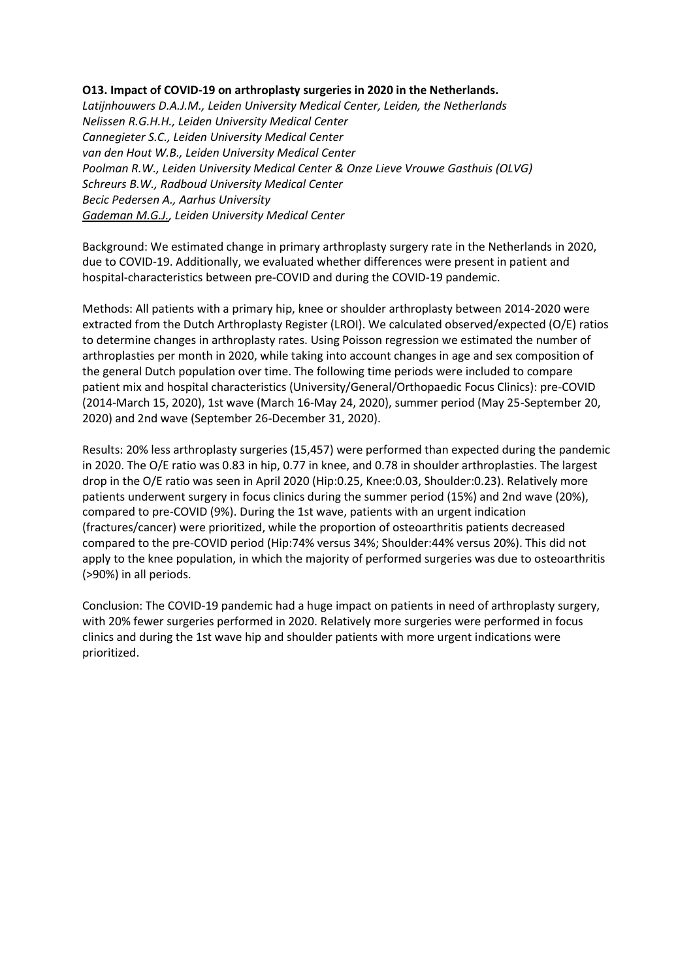# **O13. Impact of COVID-19 on arthroplasty surgeries in 2020 in the Netherlands.**

*Latijnhouwers D.A.J.M., Leiden University Medical Center, Leiden, the Netherlands Nelissen R.G.H.H., Leiden University Medical Center Cannegieter S.C., Leiden University Medical Center van den Hout W.B., Leiden University Medical Center Poolman R.W., Leiden University Medical Center & Onze Lieve Vrouwe Gasthuis (OLVG) Schreurs B.W., Radboud University Medical Center Becic Pedersen A., Aarhus University Gademan M.G.J., Leiden University Medical Center*

Background: We estimated change in primary arthroplasty surgery rate in the Netherlands in 2020, due to COVID-19. Additionally, we evaluated whether differences were present in patient and hospital-characteristics between pre-COVID and during the COVID-19 pandemic.

Methods: All patients with a primary hip, knee or shoulder arthroplasty between 2014-2020 were extracted from the Dutch Arthroplasty Register (LROI). We calculated observed/expected (O/E) ratios to determine changes in arthroplasty rates. Using Poisson regression we estimated the number of arthroplasties per month in 2020, while taking into account changes in age and sex composition of the general Dutch population over time. The following time periods were included to compare patient mix and hospital characteristics (University/General/Orthopaedic Focus Clinics): pre-COVID (2014-March 15, 2020), 1st wave (March 16-May 24, 2020), summer period (May 25-September 20, 2020) and 2nd wave (September 26-December 31, 2020).

Results: 20% less arthroplasty surgeries (15,457) were performed than expected during the pandemic in 2020. The O/E ratio was 0.83 in hip, 0.77 in knee, and 0.78 in shoulder arthroplasties. The largest drop in the O/E ratio was seen in April 2020 (Hip:0.25, Knee:0.03, Shoulder:0.23). Relatively more patients underwent surgery in focus clinics during the summer period (15%) and 2nd wave (20%), compared to pre-COVID (9%). During the 1st wave, patients with an urgent indication (fractures/cancer) were prioritized, while the proportion of osteoarthritis patients decreased compared to the pre-COVID period (Hip:74% versus 34%; Shoulder:44% versus 20%). This did not apply to the knee population, in which the majority of performed surgeries was due to osteoarthritis (>90%) in all periods.

Conclusion: The COVID-19 pandemic had a huge impact on patients in need of arthroplasty surgery, with 20% fewer surgeries performed in 2020. Relatively more surgeries were performed in focus clinics and during the 1st wave hip and shoulder patients with more urgent indications were prioritized.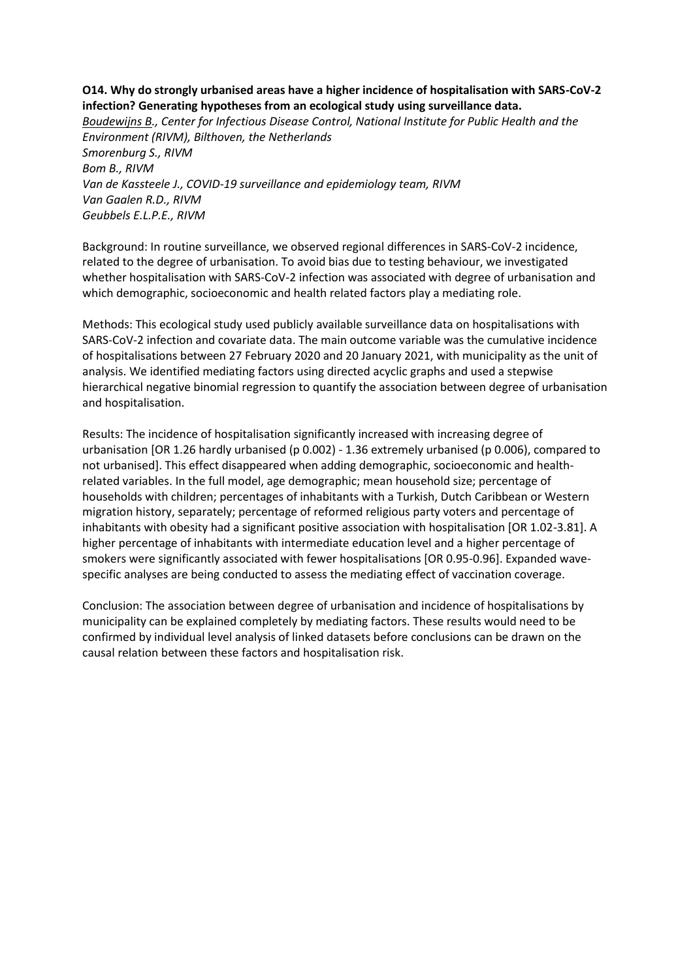# **O14. Why do strongly urbanised areas have a higher incidence of hospitalisation with SARS-CoV-2 infection? Generating hypotheses from an ecological study using surveillance data.**

*Boudewijns B., Center for Infectious Disease Control, National Institute for Public Health and the Environment (RIVM), Bilthoven, the Netherlands Smorenburg S., RIVM Bom B., RIVM Van de Kassteele J., COVID-19 surveillance and epidemiology team, RIVM Van Gaalen R.D., RIVM Geubbels E.L.P.E., RIVM*

Background: In routine surveillance, we observed regional differences in SARS-CoV-2 incidence, related to the degree of urbanisation. To avoid bias due to testing behaviour, we investigated whether hospitalisation with SARS-CoV-2 infection was associated with degree of urbanisation and which demographic, socioeconomic and health related factors play a mediating role.

Methods: This ecological study used publicly available surveillance data on hospitalisations with SARS-CoV-2 infection and covariate data. The main outcome variable was the cumulative incidence of hospitalisations between 27 February 2020 and 20 January 2021, with municipality as the unit of analysis. We identified mediating factors using directed acyclic graphs and used a stepwise hierarchical negative binomial regression to quantify the association between degree of urbanisation and hospitalisation.

Results: The incidence of hospitalisation significantly increased with increasing degree of urbanisation [OR 1.26 hardly urbanised (p 0.002) - 1.36 extremely urbanised (p 0.006), compared to not urbanised]. This effect disappeared when adding demographic, socioeconomic and healthrelated variables. In the full model, age demographic; mean household size; percentage of households with children; percentages of inhabitants with a Turkish, Dutch Caribbean or Western migration history, separately; percentage of reformed religious party voters and percentage of inhabitants with obesity had a significant positive association with hospitalisation [OR 1.02-3.81]. A higher percentage of inhabitants with intermediate education level and a higher percentage of smokers were significantly associated with fewer hospitalisations [OR 0.95-0.96]. Expanded wavespecific analyses are being conducted to assess the mediating effect of vaccination coverage.

Conclusion: The association between degree of urbanisation and incidence of hospitalisations by municipality can be explained completely by mediating factors. These results would need to be confirmed by individual level analysis of linked datasets before conclusions can be drawn on the causal relation between these factors and hospitalisation risk.